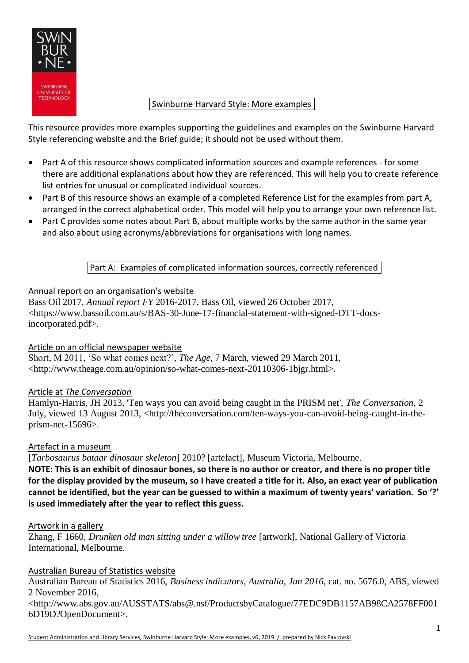

## Swinburne Harvard Style: More examples-

This resource provides more examples supporting the guidelines and examples on the Swinburne Harvard Style referencing website and the Brief guide; it should not be used without them.

- Part A of this resource shows complicated information sources and example references for some there are additional explanations about how they are referenced. This will help you to create reference list entries for unusual or complicated individual sources.
- Part B of this resource shows an example of a completed Reference List for the examples from part A, arranged in the correct alphabetical order. This model will help you to arrange your own reference list.
- Part C provides some notes about Part B, about multiple works by the same author in the same year and also about using acronyms/abbreviations for organisations with long names.

# Part A: Examples of complicated information sources, correctly referenced

## Annual report on an organisation's website

Bass Oil 2017, *Annual report FY* 2016-2017, Bass Oil, viewed 26 October 2017, <https://www.bassoil.com.au/s/BAS-30-June-17-financial-statement-with-signed-DTT-docsincorporated.pdf>.

## Article on an official newspaper website

Short, M 2011, 'So what comes next?', *The Age*, 7 March, viewed 29 March 2011, <http://www.theage.com.au/opinion/so-what-comes-next-20110306-1bjgr.html>.

## Article at *The Conversation*

Hamlyn-Harris, JH 2013, 'Ten ways you can avoid being caught in the PRISM net', *The Conversation*, 2 July, viewed 13 August 2013, <http://theconversation.com/ten-ways-you-can-avoid-being-caught-in-theprism-net-15696>.

## Artefact in a museum

[*Tarbosaurus bataar dinosaur skeleton*] 2010? [artefact], Museum Victoria, Melbourne.

**NOTE: This is an exhibit of dinosaur bones, so there is no author or creator, and there is no proper title for the display provided by the museum, so I have created a title for it. Also, an exact year of publication cannot be identified, but the year can be guessed to within a maximum of twenty years' variation. So '?' is used immediately after the year to reflect this guess.**

#### Artwork in a gallery

Zhang, F 1660, *Drunken old man sitting under a willow tree* [artwork], National Gallery of Victoria International, Melbourne.

## Australian Bureau of Statistics website

Australian Bureau of Statistics 2016, *Business indicators, Australia, Jun 2016*, cat. no. 5676.0, ABS, viewed 2 November 2016,

<http://www.abs.gov.au/AUSSTATS/abs@.nsf/ProductsbyCatalogue/77EDC9DB1157AB98CA2578FF001 6D19D?OpenDocument>.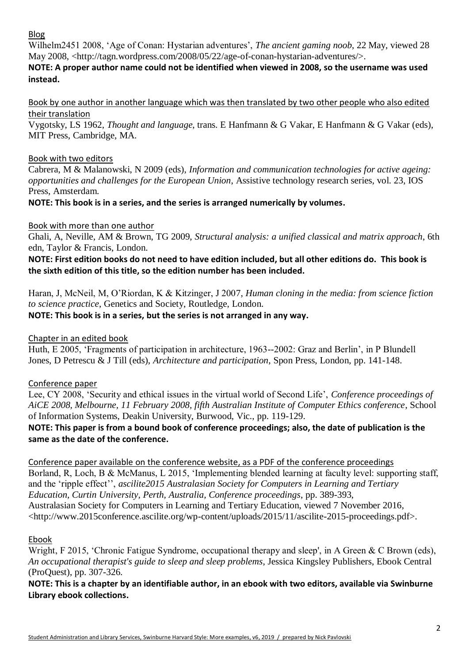# Blog

Wilhelm2451 2008, 'Age of Conan: Hystarian adventures', *The ancient gaming noob*, 22 May, viewed 28 May 2008, <http://tagn.wordpress.com/2008/05/22/age-of-conan-hystarian-adventures/>.

## **NOTE: A proper author name could not be identified when viewed in 2008, so the username was used instead.**

Book by one author in another language which was then translated by two other people who also edited their translation

Vygotsky, LS 1962, *Thought and language*, trans. E Hanfmann & G Vakar, E Hanfmann & G Vakar (eds), MIT Press, Cambridge, MA.

## Book with two editors

Cabrera, M & Malanowski, N 2009 (eds), *Information and communication technologies for active ageing: opportunities and challenges for the European Union*, Assistive technology research series, vol. 23, IOS Press, Amsterdam.

# **NOTE: This book is in a series, and the series is arranged numerically by volumes.**

# Book with more than one author

Ghali, A, Neville, AM & Brown, TG 2009, *Structural analysis: a unified classical and matrix approach*, 6th edn, Taylor & Francis, London.

**NOTE: First edition books do not need to have edition included, but all other editions do. This book is the sixth edition of this title, so the edition number has been included.**

Haran, J, McNeil, M, O'Riordan, K & Kitzinger, J 2007, *Human cloning in the media: from science fiction to science practice*, Genetics and Society, Routledge, London.

## **NOTE: This book is in a series, but the series is not arranged in any way.**

## Chapter in an edited book

Huth, E 2005, 'Fragments of participation in architecture, 1963--2002: Graz and Berlin', in P Blundell Jones, D Petrescu & J Till (eds), *Architecture and participation*, Spon Press, London, pp. 141-148.

## Conference paper

Lee, CY 2008, 'Security and ethical issues in the virtual world of Second Life', *Conference proceedings of AiCE 2008, Melbourne, 11 February 2008, fifth Australian Institute of Computer Ethics conference*, School of Information Systems, Deakin University, Burwood, Vic., pp. 119-129.

## **NOTE: This paper is from a bound book of conference proceedings; also, the date of publication is the same as the date of the conference.**

Conference paper available on the conference website, as a PDF of the conference proceedings Borland, R, Loch, B & McManus, L 2015, 'Implementing blended learning at faculty level: supporting staff, and the 'ripple effect'', *ascilite2015 Australasian Society for Computers in Learning and Tertiary Education, Curtin University, Perth, Australia, Conference proceedings*, pp. 389-393, Australasian Society for Computers in Learning and Tertiary Education, viewed 7 November 2016, <http://www.2015conference.ascilite.org/wp-content/uploads/2015/11/ascilite-2015-proceedings.pdf>.

# Ebook

Wright, F 2015, 'Chronic Fatigue Syndrome, occupational therapy and sleep', in A Green & C Brown (eds), *An occupational therapist's guide to sleep and sleep problems*, Jessica Kingsley Publishers, Ebook Central (ProQuest), pp. 307-326.

**NOTE: This is a chapter by an identifiable author, in an ebook with two editors, available via Swinburne Library ebook collections.**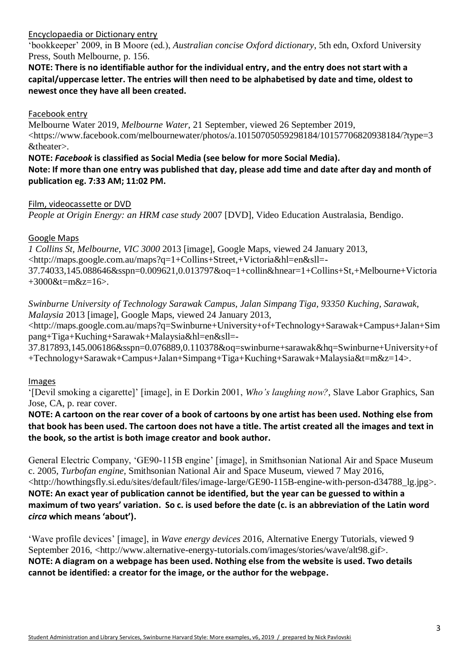## Encyclopaedia or Dictionary entry

'bookkeeper' 2009, in B Moore (ed.), *Australian concise Oxford dictionary*, 5th edn, Oxford University Press, South Melbourne, p. 156.

**NOTE: There is no identifiable author for the individual entry, and the entry does not start with a capital/uppercase letter. The entries will then need to be alphabetised by date and time, oldest to newest once they have all been created.**

## Facebook entry

Melbourne Water 2019, *Melbourne Water*, 21 September, viewed 26 September 2019, <https://www.facebook.com/melbournewater/photos/a.10150705059298184/10157706820938184/?type=3 &theater>.

## **NOTE:** *Facebook* **is classified as Social Media (see below for more Social Media). Note: If more than one entry was published that day, please add time and date after day and month of publication eg. 7:33 AM; 11:02 PM.**

## Film, videocassette or DVD

*People at Origin Energy: an HRM case study* 2007 [DVD], Video Education Australasia, Bendigo.

## Google Maps

*1 Collins St, Melbourne, VIC 3000* 2013 [image], Google Maps, viewed 24 January 2013, <http://maps.google.com.au/maps?q=1+Collins+Street,+Victoria&hl=en&sll=- 37.74033,145.088646&sspn=0.009621,0.013797&oq=1+collin&hnear=1+Collins+St,+Melbourne+Victoria  $+3000$ &t=m&z=16>.

*Swinburne University of Technology Sarawak Campus, Jalan Simpang Tiga, 93350 Kuching, Sarawak, Malaysia* 2013 [image], Google Maps, viewed 24 January 2013,

<http://maps.google.com.au/maps?q=Swinburne+University+of+Technology+Sarawak+Campus+Jalan+Sim pang+Tiga+Kuching+Sarawak+Malaysia&hl=en&sll=-

37.817893,145.006186&sspn=0.076889,0.110378&oq=swinburne+sarawak&hq=Swinburne+University+of +Technology+Sarawak+Campus+Jalan+Simpang+Tiga+Kuching+Sarawak+Malaysia&t=m&z=14>.

## Images

'[Devil smoking a cigarette]' [image], in E Dorkin 2001, *Who's laughing now?*, Slave Labor Graphics, San Jose, CA, p. rear cover.

**NOTE: A cartoon on the rear cover of a book of cartoons by one artist has been used. Nothing else from that book has been used. The cartoon does not have a title. The artist created all the images and text in the book, so the artist is both image creator and book author.**

General Electric Company, 'GE90-115B engine' [image], in Smithsonian National Air and Space Museum c. 2005, *Turbofan engine*, Smithsonian National Air and Space Museum, viewed 7 May 2016, <http://howthingsfly.si.edu/sites/default/files/image-large/GE90-115B-engine-with-person-d34788\_lg.jpg>. **NOTE: An exact year of publication cannot be identified, but the year can be guessed to within a maximum of two years' variation. So c. is used before the date (c. is an abbreviation of the Latin word**  *circa* **which means 'about').**

'Wave profile devices' [image], in *Wave energy devices* 2016, Alternative Energy Tutorials, viewed 9 September 2016, <http://www.alternative-energy-tutorials.com/images/stories/wave/alt98.gif>. **NOTE: A diagram on a webpage has been used. Nothing else from the website is used. Two details cannot be identified: a creator for the image, or the author for the webpage.**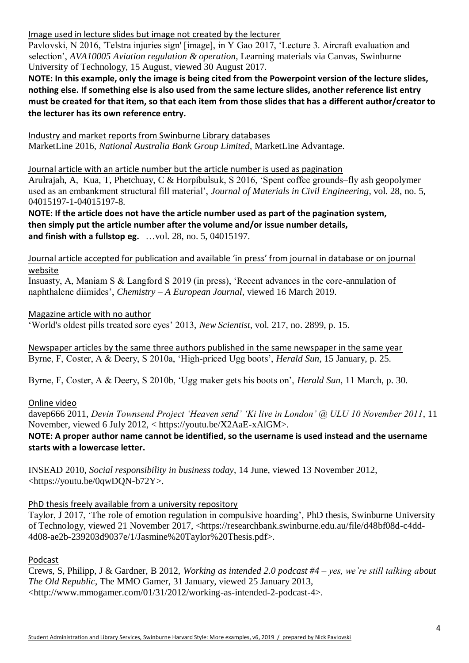Image used in lecture slides but image not created by the lecturer

Pavlovski, N 2016, 'Telstra injuries sign' [image], in Y Gao 2017, 'Lecture 3. Aircraft evaluation and selection', *AVA10005 Aviation regulation & operation*, Learning materials via Canvas, Swinburne University of Technology, 15 August, viewed 30 August 2017.

**NOTE: In this example, only the image is being cited from the Powerpoint version of the lecture slides, nothing else. If something else is also used from the same lecture slides, another reference list entry must be created for that item, so that each item from those slides that has a different author/creator to the lecturer has its own reference entry***.*

Industry and market reports from Swinburne Library databases MarketLine 2016, *National Australia Bank Group Limited*, MarketLine Advantage.

Journal article with an article number but the article number is used as pagination Arulrajah, A, Kua, T, Phetchuay, C & Horpibulsuk, S 2016, 'Spent coffee grounds–fly ash geopolymer used as an embankment structural fill material', *Journal of Materials in Civil Engineering*, vol. 28, no. 5, 04015197-1-04015197-8.

**NOTE: If the article does not have the article number used as part of the pagination system, then simply put the article number after the volume and/or issue number details, and finish with a fullstop eg.** …vol. 28, no. 5, 04015197.

Journal article accepted for publication and available 'in press' from journal in database or on journal website

Insuasty, A, Maniam S & Langford S 2019 (in press), 'Recent advances in the core-annulation of naphthalene diimides', *Chemistry – A European Journal*, viewed 16 March 2019.

Magazine article with no author

'World's oldest pills treated sore eyes' 2013, *New Scientist*, vol. 217, no. 2899, p. 15.

Newspaper articles by the same three authors published in the same newspaper in the same year Byrne, F, Coster, A & Deery, S 2010a, 'High-priced Ugg boots', *Herald Sun*, 15 January, p. 25.

Byrne, F, Coster, A & Deery, S 2010b, 'Ugg maker gets his boots on', *Herald Sun*, 11 March, p. 30.

Online video

davep666 2011, *Devin Townsend Project 'Heaven send' 'Ki live in London' @ ULU 10 November 2011*, 11 November, viewed 6 July 2012, < https://youtu.be/X2AaE-xAlGM>.

**NOTE: A proper author name cannot be identified, so the username is used instead and the username starts with a lowercase letter.**

INSEAD 2010, *Social responsibility in business today*, 14 June, viewed 13 November 2012, <https://youtu.be/0qwDQN-b72Y>.

PhD thesis freely available from a university repository

Taylor, J 2017, 'The role of emotion regulation in compulsive hoarding', PhD thesis, Swinburne University of Technology, viewed 21 November 2017, <https://researchbank.swinburne.edu.au/file/d48bf08d-c4dd-4d08-ae2b-239203d9037e/1/Jasmine%20Taylor%20Thesis.pdf>.

Podcast

Crews, S, Philipp, J & Gardner, B 2012, *Working as intended 2.0 podcast #4 – yes, we're still talking about The Old Republic*, The MMO Gamer, 31 January, viewed 25 January 2013, <http://www.mmogamer.com/01/31/2012/working-as-intended-2-podcast-4>.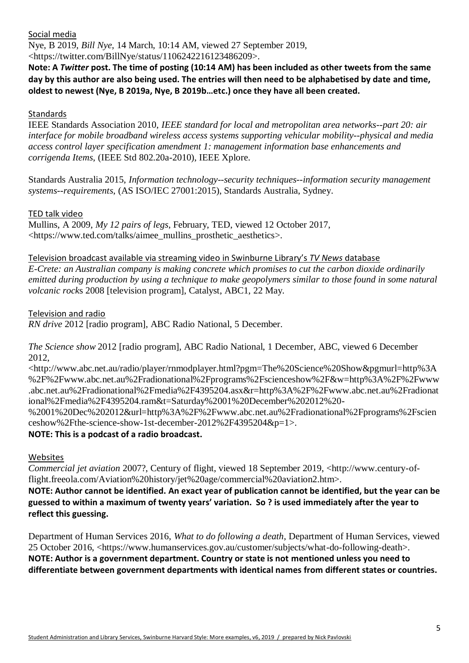Social media

Nye, B 2019, *Bill Nye*, 14 March, 10:14 AM, viewed 27 September 2019,

<https://twitter.com/BillNye/status/1106242216123486209>.

**Note: A** *Twitter* **post. The time of posting (10:14 AM) has been included as other tweets from the same day by this author are also being used. The entries will then need to be alphabetised by date and time, oldest to newest (Nye, B 2019a, Nye, B 2019b…etc.) once they have all been created.**

## **Standards**

IEEE Standards Association 2010, *IEEE standard for local and metropolitan area networks--part 20: air interface for mobile broadband wireless access systems supporting vehicular mobility--physical and media access control layer specification amendment 1: management information base enhancements and corrigenda Items*, (IEEE Std 802.20a-2010), IEEE Xplore.

Standards Australia 2015, *Information technology--security techniques--information security management systems--requirements*, (AS ISO/IEC 27001:2015), Standards Australia, Sydney.

## TED talk video

Mullins, A 2009, *My 12 pairs of legs*, February, TED, viewed 12 October 2017, <https://www.ted.com/talks/aimee\_mullins\_prosthetic\_aesthetics>.

## Television broadcast available via streaming video in Swinburne Library's *TV News* database

*E-Crete: an Australian company is making concrete which promises to cut the carbon dioxide ordinarily emitted during production by using a technique to make geopolymers similar to those found in some natural volcanic rock*s 2008 [television program], Catalyst, ABC1, 22 May.

## Television and radio

*RN drive* 2012 [radio program], ABC Radio National, 5 December.

*The Science show* 2012 [radio program], ABC Radio National, 1 December, ABC, viewed 6 December 2012,

<http://www.abc.net.au/radio/player/rnmodplayer.html?pgm=The%20Science%20Show&pgmurl=http%3A %2F%2Fwww.abc.net.au%2Fradionational%2Fprograms%2Fscienceshow%2F&w=http%3A%2F%2Fwww .abc.net.au%2Fradionational%2Fmedia%2F4395204.asx&r=http%3A%2F%2Fwww.abc.net.au%2Fradionat ional%2Fmedia%2F4395204.ram&t=Saturday%2001%20December%202012%20-

%2001%20Dec%202012&url=http%3A%2F%2Fwww.abc.net.au%2Fradionational%2Fprograms%2Fscien ceshow%2Fthe-science-show-1st-december-2012%2F4395204&p=1>.

## **NOTE: This is a podcast of a radio broadcast.**

#### Websites

*Commercial jet aviation* 2007?, Century of flight, viewed 18 September 2019, <http://www.century-offlight.freeola.com/Aviation%20history/jet%20age/commercial%20aviation2.htm>.

**NOTE: Author cannot be identified. An exact year of publication cannot be identified, but the year can be guessed to within a maximum of twenty years' variation. So ? is used immediately after the year to reflect this guessing.**

Department of Human Services 2016, *What to do following a death*, Department of Human Services, viewed 25 October 2016, <https://www.humanservices.gov.au/customer/subjects/what-do-following-death>. **NOTE: Author is a government department. Country or state is not mentioned unless you need to differentiate between government departments with identical names from different states or countries.**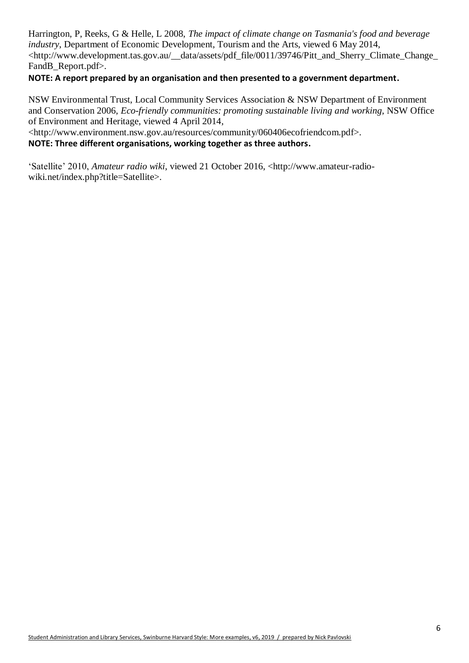Harrington, P, Reeks, G & Helle, L 2008, *The impact of climate change on Tasmania's food and beverage industry*, Department of Economic Development, Tourism and the Arts, viewed 6 May 2014, <http://www.development.tas.gov.au/\_\_data/assets/pdf\_file/0011/39746/Pitt\_and\_Sherry\_Climate\_Change\_ FandB\_Report.pdf>.

## **NOTE: A report prepared by an organisation and then presented to a government department.**

NSW Environmental Trust, Local Community Services Association & NSW Department of Environment and Conservation 2006, *Eco-friendly communities: promoting sustainable living and working*, NSW Office of Environment and Heritage, viewed 4 April 2014,

<http://www.environment.nsw.gov.au/resources/community/060406ecofriendcom.pdf>.

## **NOTE: Three different organisations, working together as three authors.**

'Satellite' 2010, *Amateur radio wiki*, viewed 21 October 2016, <http://www.amateur-radiowiki.net/index.php?title=Satellite>.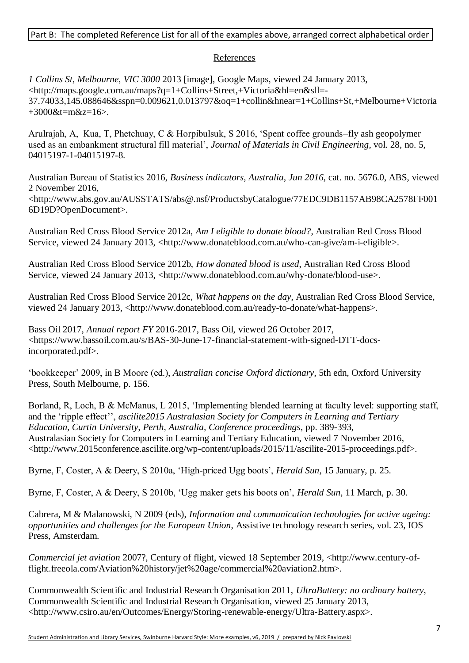## Part B: The completed Reference List for all of the examples above, arranged correct alphabetical order-

#### References

*1 Collins St, Melbourne, VIC 3000* 2013 [image], Google Maps, viewed 24 January 2013, <http://maps.google.com.au/maps?q=1+Collins+Street,+Victoria&hl=en&sll=- 37.74033,145.088646&sspn=0.009621,0.013797&oq=1+collin&hnear=1+Collins+St,+Melbourne+Victoria +3000&t=m&z=16>.

Arulrajah, A, Kua, T, Phetchuay, C & Horpibulsuk, S 2016, 'Spent coffee grounds–fly ash geopolymer used as an embankment structural fill material', *Journal of Materials in Civil Engineering*, vol. 28, no. 5, 04015197-1-04015197-8.

Australian Bureau of Statistics 2016, *Business indicators, Australia, Jun 2016*, cat. no. 5676.0, ABS, viewed 2 November 2016,

<http://www.abs.gov.au/AUSSTATS/abs@.nsf/ProductsbyCatalogue/77EDC9DB1157AB98CA2578FF001 6D19D?OpenDocument>.

Australian Red Cross Blood Service 2012a, *Am I eligible to donate blood?*, Australian Red Cross Blood Service, viewed 24 January 2013, <http://www.donateblood.com.au/who-can-give/am-i-eligible>.

Australian Red Cross Blood Service 2012b, *How donated blood is used*, Australian Red Cross Blood Service, viewed 24 January 2013, <http://www.donateblood.com.au/why-donate/blood-use>.

Australian Red Cross Blood Service 2012c, *What happens on the day*, Australian Red Cross Blood Service, viewed 24 January 2013, <http://www.donateblood.com.au/ready-to-donate/what-happens>.

Bass Oil 2017, *Annual report FY* 2016-2017, Bass Oil, viewed 26 October 2017, <https://www.bassoil.com.au/s/BAS-30-June-17-financial-statement-with-signed-DTT-docsincorporated.pdf>.

'bookkeeper' 2009, in B Moore (ed.), *Australian concise Oxford dictionary*, 5th edn, Oxford University Press, South Melbourne, p. 156.

Borland, R, Loch, B & McManus, L 2015, 'Implementing blended learning at faculty level: supporting staff, and the 'ripple effect'', *ascilite2015 Australasian Society for Computers in Learning and Tertiary Education, Curtin University, Perth, Australia, Conference proceedings*, pp. 389-393, Australasian Society for Computers in Learning and Tertiary Education, viewed 7 November 2016, <http://www.2015conference.ascilite.org/wp-content/uploads/2015/11/ascilite-2015-proceedings.pdf>.

Byrne, F, Coster, A & Deery, S 2010a, 'High-priced Ugg boots', *Herald Sun*, 15 January, p. 25.

Byrne, F, Coster, A & Deery, S 2010b, 'Ugg maker gets his boots on', *Herald Sun*, 11 March, p. 30.

Cabrera, M & Malanowski, N 2009 (eds), *Information and communication technologies for active ageing: opportunities and challenges for the European Union*, Assistive technology research series, vol. 23, IOS Press, Amsterdam.

*Commercial jet aviation* 2007?, Century of flight, viewed 18 September 2019, <http://www.century-offlight.freeola.com/Aviation%20history/jet%20age/commercial%20aviation2.htm>.

Commonwealth Scientific and Industrial Research Organisation 2011, *UltraBattery: no ordinary battery*, Commonwealth Scientific and Industrial Research Organisation, viewed 25 January 2013, <http://www.csiro.au/en/Outcomes/Energy/Storing-renewable-energy/Ultra-Battery.aspx>.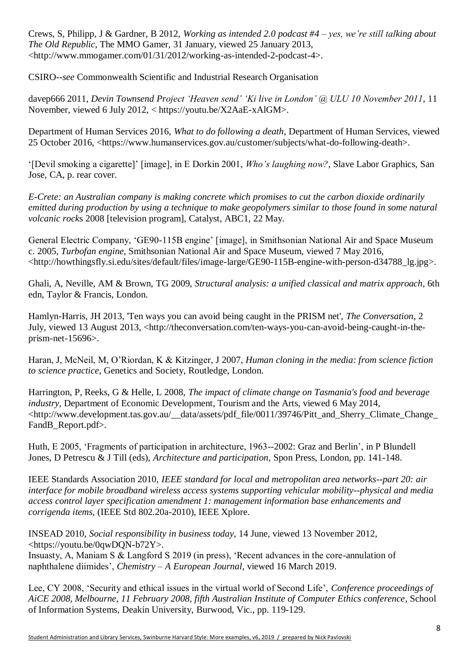Crews, S, Philipp, J & Gardner, B 2012, *Working as intended 2.0 podcast #4 – yes, we're still talking about The Old Republic*, The MMO Gamer, 31 January, viewed 25 January 2013, <http://www.mmogamer.com/01/31/2012/working-as-intended-2-podcast-4>.

CSIRO--*see* Commonwealth Scientific and Industrial Research Organisation

davep666 2011, *Devin Townsend Project 'Heaven send' 'Ki live in London' @ ULU 10 November 2011*, 11 November, viewed 6 July 2012, < https://youtu.be/X2AaE-xAlGM>.

Department of Human Services 2016, *What to do following a death*, Department of Human Services, viewed 25 October 2016, <https://www.humanservices.gov.au/customer/subjects/what-do-following-death>.

'[Devil smoking a cigarette]' [image], in E Dorkin 2001, *Who's laughing now?*, Slave Labor Graphics, San Jose, CA, p. rear cover.

*E-Crete: an Australian company is making concrete which promises to cut the carbon dioxide ordinarily emitted during production by using a technique to make geopolymers similar to those found in some natural volcanic rock*s 2008 [television program], Catalyst, ABC1, 22 May.

General Electric Company, 'GE90-115B engine' [image], in Smithsonian National Air and Space Museum c. 2005, *Turbofan engine*, Smithsonian National Air and Space Museum, viewed 7 May 2016, <http://howthingsfly.si.edu/sites/default/files/image-large/GE90-115B-engine-with-person-d34788\_lg.jpg>.

Ghali, A, Neville, AM & Brown, TG 2009, *Structural analysis: a unified classical and matrix approach*, 6th edn, Taylor & Francis, London.

Hamlyn-Harris, JH 2013, 'Ten ways you can avoid being caught in the PRISM net', *The Conversation*, 2 July, viewed 13 August 2013, <http://theconversation.com/ten-ways-you-can-avoid-being-caught-in-theprism-net-15696>.

Haran, J, McNeil, M, O'Riordan, K & Kitzinger, J 2007, *Human cloning in the media: from science fiction to science practice*, Genetics and Society, Routledge, London.

Harrington, P, Reeks, G & Helle, L 2008, *The impact of climate change on Tasmania's food and beverage industry*, Department of Economic Development, Tourism and the Arts, viewed 6 May 2014, <http://www.development.tas.gov.au/\_\_data/assets/pdf\_file/0011/39746/Pitt\_and\_Sherry\_Climate\_Change\_ FandB\_Report.pdf>.

Huth, E 2005, 'Fragments of participation in architecture, 1963--2002: Graz and Berlin', in P Blundell Jones, D Petrescu & J Till (eds), *Architecture and participation*, Spon Press, London, pp. 141-148.

IEEE Standards Association 2010, *IEEE standard for local and metropolitan area networks--part 20: air interface for mobile broadband wireless access systems supporting vehicular mobility--physical and media access control layer specification amendment 1: management information base enhancements and corrigenda items*, (IEEE Std 802.20a-2010), IEEE Xplore.

INSEAD 2010, *Social responsibility in business today*, 14 June, viewed 13 November 2012, <https://youtu.be/0qwDQN-b72Y>.

Insuasty, A, Maniam S & Langford S 2019 (in press), 'Recent advances in the core-annulation of naphthalene diimides', *Chemistry – A European Journal*, viewed 16 March 2019.

Lee, CY 2008, 'Security and ethical issues in the virtual world of Second Life', *Conference proceedings of AiCE 2008, Melbourne, 11 February 2008, fifth Australian Institute of Computer Ethics conference*, School of Information Systems, Deakin University, Burwood, Vic., pp. 119-129.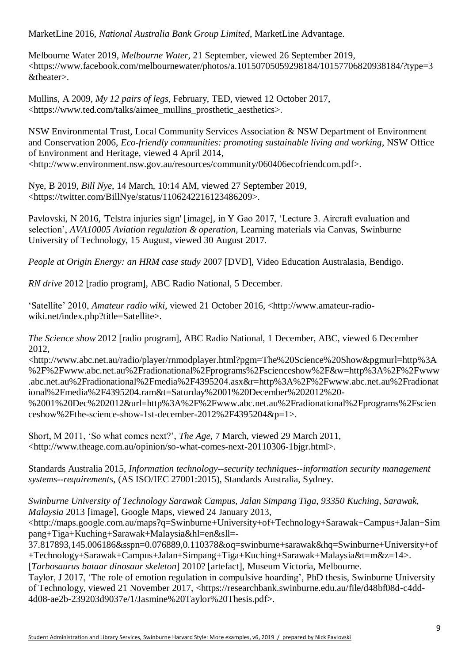MarketLine 2016, *National Australia Bank Group Limited*, MarketLine Advantage.

Melbourne Water 2019, *Melbourne Water*, 21 September, viewed 26 September 2019, <https://www.facebook.com/melbournewater/photos/a.10150705059298184/10157706820938184/?type=3 &theater>.

Mullins, A 2009, *My 12 pairs of legs*, February, TED, viewed 12 October 2017, <https://www.ted.com/talks/aimee\_mullins\_prosthetic\_aesthetics>.

NSW Environmental Trust, Local Community Services Association & NSW Department of Environment and Conservation 2006, *Eco-friendly communities: promoting sustainable living and working*, NSW Office of Environment and Heritage, viewed 4 April 2014, <http://www.environment.nsw.gov.au/resources/community/060406ecofriendcom.pdf>.

Nye, B 2019, *Bill Nye*, 14 March, 10:14 AM, viewed 27 September 2019, <https://twitter.com/BillNye/status/1106242216123486209>.

Pavlovski, N 2016, 'Telstra injuries sign' [image], in Y Gao 2017, 'Lecture 3. Aircraft evaluation and selection', *AVA10005 Aviation regulation & operation*, Learning materials via Canvas, Swinburne University of Technology, 15 August, viewed 30 August 2017.

*People at Origin Energy: an HRM case study* 2007 [DVD], Video Education Australasia, Bendigo.

*RN drive* 2012 [radio program], ABC Radio National, 5 December.

'Satellite' 2010, *Amateur radio wiki*, viewed 21 October 2016, <http://www.amateur-radiowiki.net/index.php?title=Satellite>.

*The Science show* 2012 [radio program], ABC Radio National, 1 December, ABC, viewed 6 December 2012,

<http://www.abc.net.au/radio/player/rnmodplayer.html?pgm=The%20Science%20Show&pgmurl=http%3A %2F%2Fwww.abc.net.au%2Fradionational%2Fprograms%2Fscienceshow%2F&w=http%3A%2F%2Fwww .abc.net.au%2Fradionational%2Fmedia%2F4395204.asx&r=http%3A%2F%2Fwww.abc.net.au%2Fradionat ional%2Fmedia%2F4395204.ram&t=Saturday%2001%20December%202012%20- %2001%20Dec%202012&url=http%3A%2F%2Fwww.abc.net.au%2Fradionational%2Fprograms%2Fscien

ceshow%2Fthe-science-show-1st-december-2012%2F4395204&p=1>.

Short, M 2011, 'So what comes next?', *The Age*, 7 March, viewed 29 March 2011, <http://www.theage.com.au/opinion/so-what-comes-next-20110306-1bjgr.html>.

Standards Australia 2015, *Information technology--security techniques--information security management systems--requirements*, (AS ISO/IEC 27001:2015), Standards Australia, Sydney.

*Swinburne University of Technology Sarawak Campus, Jalan Simpang Tiga, 93350 Kuching, Sarawak, Malaysia* 2013 [image], Google Maps, viewed 24 January 2013,

<http://maps.google.com.au/maps?q=Swinburne+University+of+Technology+Sarawak+Campus+Jalan+Sim pang+Tiga+Kuching+Sarawak+Malaysia&hl=en&sll=-

37.817893,145.006186&sspn=0.076889,0.110378&oq=swinburne+sarawak&hq=Swinburne+University+of +Technology+Sarawak+Campus+Jalan+Simpang+Tiga+Kuching+Sarawak+Malaysia&t=m&z=14>.

[*Tarbosaurus bataar dinosaur skeleton*] 2010? [artefact], Museum Victoria, Melbourne.

Taylor, J 2017, 'The role of emotion regulation in compulsive hoarding', PhD thesis, Swinburne University of Technology, viewed 21 November 2017, <https://researchbank.swinburne.edu.au/file/d48bf08d-c4dd-4d08-ae2b-239203d9037e/1/Jasmine%20Taylor%20Thesis.pdf>.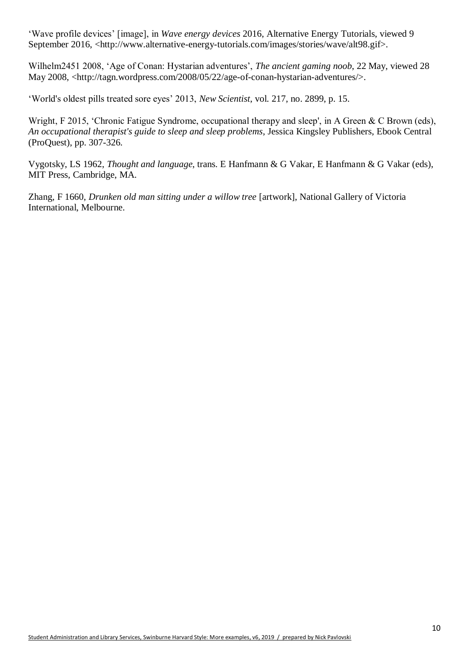'Wave profile devices' [image], in *Wave energy devices* 2016, Alternative Energy Tutorials, viewed 9 September 2016, <http://www.alternative-energy-tutorials.com/images/stories/wave/alt98.gif>.

Wilhelm2451 2008, 'Age of Conan: Hystarian adventures', *The ancient gaming noob*, 22 May, viewed 28 May 2008, <http://tagn.wordpress.com/2008/05/22/age-of-conan-hystarian-adventures/>.

'World's oldest pills treated sore eyes' 2013, *New Scientist*, vol. 217, no. 2899, p. 15.

Wright, F 2015, 'Chronic Fatigue Syndrome, occupational therapy and sleep', in A Green & C Brown (eds), *An occupational therapist's guide to sleep and sleep problems*, Jessica Kingsley Publishers, Ebook Central (ProQuest), pp. 307-326.

Vygotsky, LS 1962, *Thought and language*, trans. E Hanfmann & G Vakar, E Hanfmann & G Vakar (eds), MIT Press, Cambridge, MA.

Zhang, F 1660, *Drunken old man sitting under a willow tree* [artwork], National Gallery of Victoria International, Melbourne.